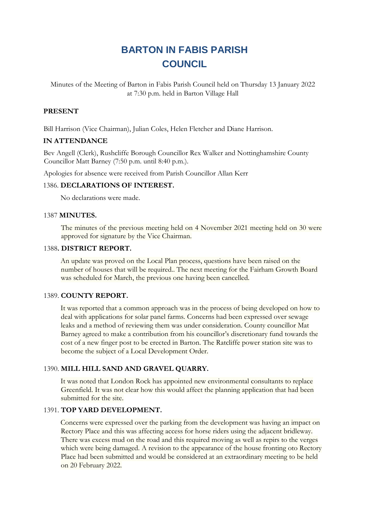# **BARTON IN FABIS PARISH COUNCIL**

Minutes of the Meeting of Barton in Fabis Parish Council held on Thursday 13 January 2022 at 7:30 p.m. held in Barton Village Hall

# **PRESENT**

Bill Harrison (Vice Chairman), Julian Coles, Helen Fletcher and Diane Harrison.

# **IN ATTENDANCE**

Bev Angell (Clerk), Rushcliffe Borough Councillor Rex Walker and Nottinghamshire County Councillor Matt Barney (7:50 p.m. until 8:40 p.m.).

Apologies for absence were received from Parish Councillor Allan Kerr

## 1386. **DECLARATIONS OF INTEREST.**

No declarations were made.

#### 1387 **MINUTES.**

The minutes of the previous meeting held on 4 November 2021 meeting held on 30 were approved for signature by the Vice Chairman.

#### 1388**. DISTRICT REPORT.**

An update was proved on the Local Plan process, questions have been raised on the number of houses that will be required.. The next meeting for the Fairham Growth Board was scheduled for March, the previous one having been cancelled.

## 1389. **COUNTY REPORT.**

It was reported that a common approach was in the process of being developed on how to deal with applications for solar panel farms. Concerns had been expressed over sewage leaks and a method of reviewing them was under consideration. County councillor Mat Barney agreed to make a contribution from his councillor's discretionary fund towards the cost of a new finger post to be erected in Barton. The Ratcliffe power station site was to become the subject of a Local Development Order.

## 1390. **MILL HILL SAND AND GRAVEL QUARRY.**

It was noted that London Rock has appointed new environmental consultants to replace Greenfield. It was not clear how this would affect the planning application that had been submitted for the site.

## 1391. **TOP YARD DEVELOPMENT.**

Concerns were expressed over the parking from the development was having an impact on Rectory Place and this was affecting access for horse riders using the adjacent bridleway. There was excess mud on the road and this required moving as well as repirs to the verges which were being damaged. A revision to the appearance of the house fronting oto Rectory Place had been submitted and would be considered at an extraordinary meeting to be held on 20 February 2022.